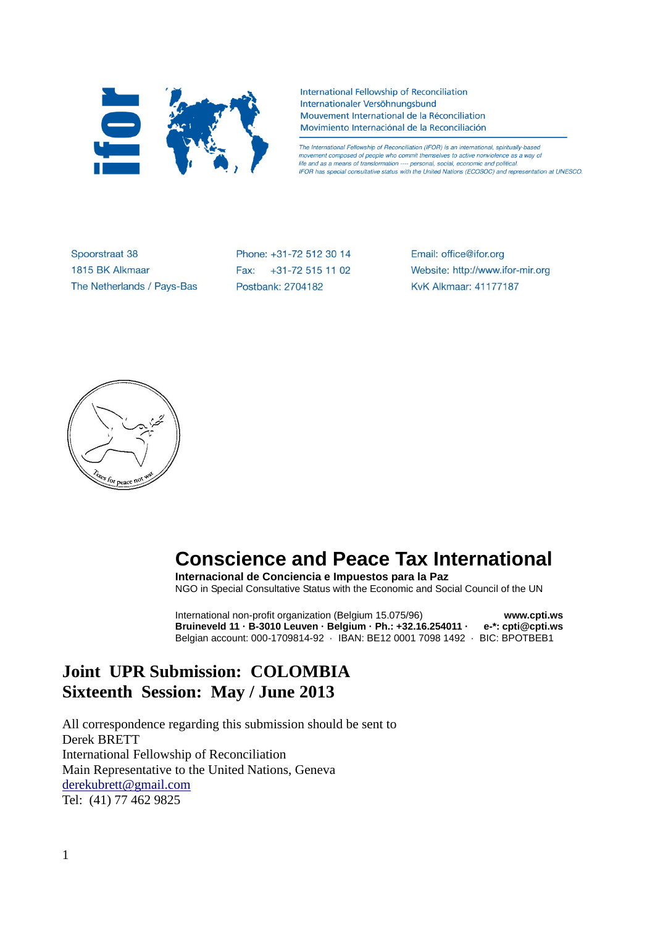

International Fellowship of Reconciliation Internationaler Versöhnungsbund Mouvement International de la Réconciliation Movimiento Internaciónal de la Reconciliación

The International Fellowship of Reconciliation (IFOR) is an international, spiritually-based movement composed of people who commit themselves to active nonviolence as a way of life and as a means of transformation ---- personal, social, economic and political. IFOR has special consultative status with the United Nations (ECOSOC) and representation at UNESCO.

Spoorstraat 38 1815 BK Alkmaar The Netherlands / Pays-Bas Phone: +31-72 512 30 14 Fax: +31-72 515 11 02 Postbank: 2704182

Email: office@ifor.org Website: http://www.ifor-mir.org **KvK Alkmaar: 41177187** 



# **Conscience and Peace Tax International**

**Internacional de Conciencia e Impuestos para la Paz** NGO in Special Consultative Status with the Economic and Social Council of the UN

International non-profit organization (Belgium 15.075/96) **www.cpti.ws Bruineveld 11 · B-3010 Leuven · Belgium · Ph.: +32.16.254011 · e-\*: cpti@cpti.ws** Belgian account: 000-1709814-92 · IBAN: BE12 0001 7098 1492 · BIC: BPOTBEB1

# **Joint UPR Submission: COLOMBIA Sixteenth Session: May / June 2013**

All correspondence regarding this submission should be sent to Derek BRETT International Fellowship of Reconciliation Main Representative to the United Nations, Geneva [derekubrett@gmail.com](mailto:derekubrett@gmail.com) Tel: (41) 77 462 9825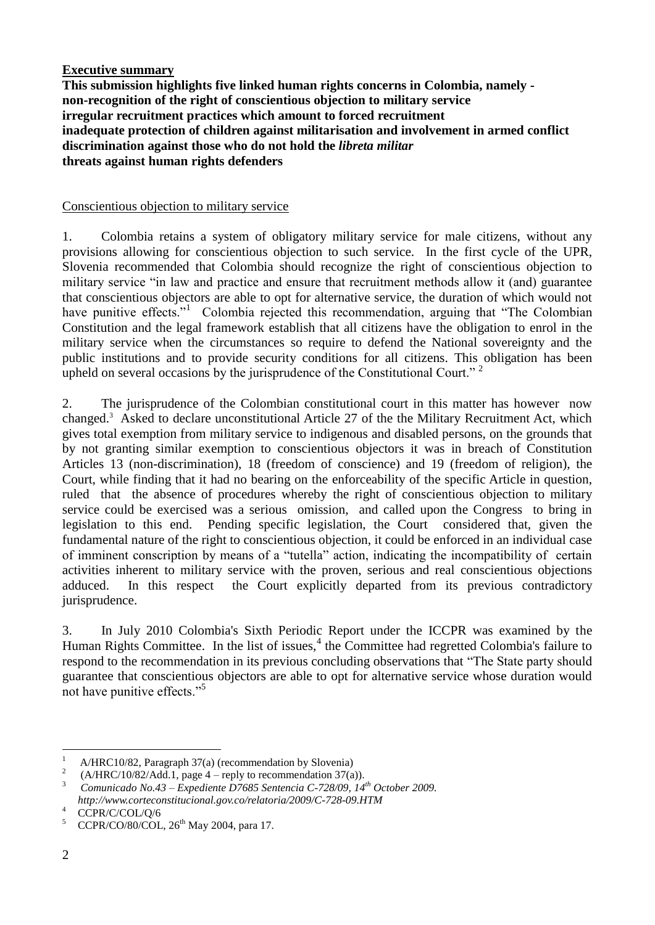#### **Executive summary**

**This submission highlights five linked human rights concerns in Colombia, namely non-recognition of the right of conscientious objection to military service irregular recruitment practices which amount to forced recruitment inadequate protection of children against militarisation and involvement in armed conflict discrimination against those who do not hold the** *libreta militar* **threats against human rights defenders**

#### Conscientious objection to military service

1. Colombia retains a system of obligatory military service for male citizens, without any provisions allowing for conscientious objection to such service. In the first cycle of the UPR, Slovenia recommended that Colombia should recognize the right of conscientious objection to military service "in law and practice and ensure that recruitment methods allow it (and) guarantee that conscientious objectors are able to opt for alternative service, the duration of which would not have punitive effects."<sup>1</sup> Colombia rejected this recommendation, arguing that "The Colombian Constitution and the legal framework establish that all citizens have the obligation to enrol in the military service when the circumstances so require to defend the National sovereignty and the public institutions and to provide security conditions for all citizens. This obligation has been upheld on several occasions by the jurisprudence of the Constitutional Court."<sup>2</sup>

2. The jurisprudence of the Colombian constitutional court in this matter has however now changed.<sup>3</sup> Asked to declare unconstitutional Article 27 of the the Military Recruitment Act, which gives total exemption from military service to indigenous and disabled persons, on the grounds that by not granting similar exemption to conscientious objectors it was in breach of Constitution Articles 13 (non-discrimination), 18 (freedom of conscience) and 19 (freedom of religion), the Court, while finding that it had no bearing on the enforceability of the specific Article in question, ruled that the absence of procedures whereby the right of conscientious objection to military service could be exercised was a serious omission, and called upon the Congress to bring in legislation to this end. Pending specific legislation, the Court considered that, given the fundamental nature of the right to conscientious objection, it could be enforced in an individual case of imminent conscription by means of a "tutella" action, indicating the incompatibility of certain activities inherent to military service with the proven, serious and real conscientious objections adduced. In this respect the Court explicitly departed from its previous contradictory jurisprudence.

3. In July 2010 Colombia's Sixth Periodic Report under the ICCPR was examined by the Human Rights Committee. In the list of issues,<sup>4</sup> the Committee had regretted Colombia's failure to respond to the recommendation in its previous concluding observations that "The State party should guarantee that conscientious objectors are able to opt for alternative service whose duration would not have punitive effects."<sup>5</sup>

 $\mathbf{1}$ <sup>1</sup> A/HRC10/82, Paragraph 37(a) (recommendation by Slovenia)

 $\overline{2}$  $(A/HRC/10/82/Add.1,$  page 4 – reply to recommendation 37(a)).

<sup>3</sup> *Comunicado No.43 – Expediente D7685 Sentencia C-728/09, 14th October 2009. http://www.corteconstitucional.gov.co/relatoria/2009/C-728-09.HTM*

 $^{4}$  CCPR/C/COL/Q/6

 $CCPR/CO/80/COL$ ,  $26<sup>th</sup>$  May 2004, para 17.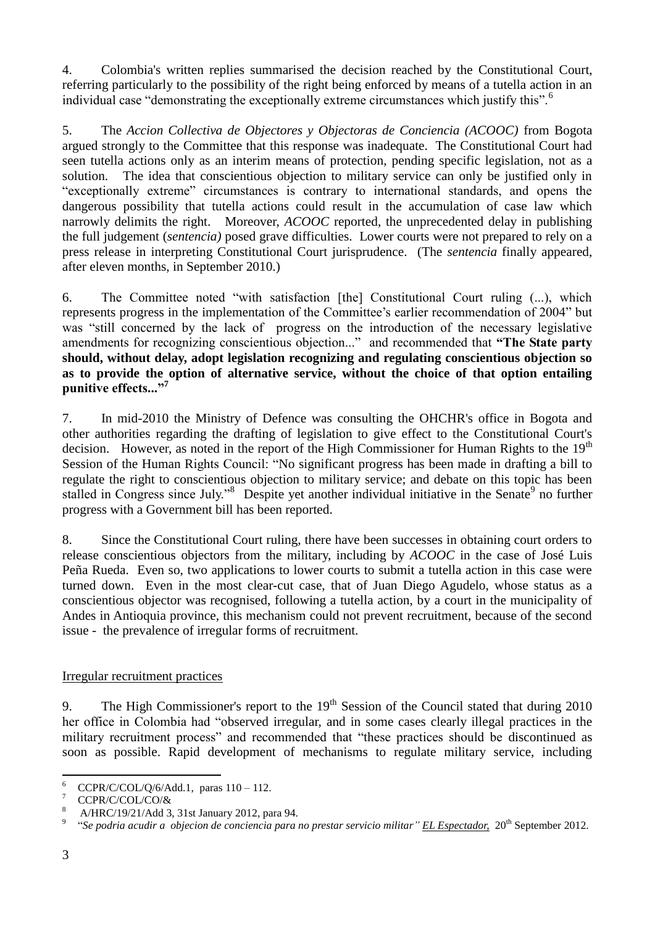4. Colombia's written replies summarised the decision reached by the Constitutional Court, referring particularly to the possibility of the right being enforced by means of a tutella action in an individual case "demonstrating the exceptionally extreme circumstances which justify this".<sup>6</sup>

5. The *Accion Collectiva de Objectores y Objectoras de Conciencia (ACOOC)* from Bogota argued strongly to the Committee that this response was inadequate. The Constitutional Court had seen tutella actions only as an interim means of protection, pending specific legislation, not as a solution. The idea that conscientious objection to military service can only be justified only in "exceptionally extreme" circumstances is contrary to international standards, and opens the dangerous possibility that tutella actions could result in the accumulation of case law which narrowly delimits the right. Moreover, *ACOOC* reported, the unprecedented delay in publishing the full judgement (*sentencia)* posed grave difficulties. Lower courts were not prepared to rely on a press release in interpreting Constitutional Court jurisprudence. (The *sentencia* finally appeared, after eleven months, in September 2010.)

6. The Committee noted "with satisfaction [the] Constitutional Court ruling (...), which represents progress in the implementation of the Committee's earlier recommendation of 2004" but was "still concerned by the lack of progress on the introduction of the necessary legislative amendments for recognizing conscientious objection..." and recommended that **"The State party should, without delay, adopt legislation recognizing and regulating conscientious objection so as to provide the option of alternative service, without the choice of that option entailing punitive effects..."<sup>7</sup>**

7. In mid-2010 the Ministry of Defence was consulting the OHCHR's office in Bogota and other authorities regarding the drafting of legislation to give effect to the Constitutional Court's decision. However, as noted in the report of the High Commissioner for Human Rights to the 19<sup>th</sup> Session of the Human Rights Council: "No significant progress has been made in drafting a bill to regulate the right to conscientious objection to military service; and debate on this topic has been stalled in Congress since July."<sup>8</sup> Despite yet another individual initiative in the Senate<sup>9</sup> no further progress with a Government bill has been reported.

8. Since the Constitutional Court ruling, there have been successes in obtaining court orders to release conscientious objectors from the military, including by *ACOOC* in the case of José Luis Peña Rueda. Even so, two applications to lower courts to submit a tutella action in this case were turned down. Even in the most clear-cut case, that of Juan Diego Agudelo, whose status as a conscientious objector was recognised, following a tutella action, by a court in the municipality of Andes in Antioquia province, this mechanism could not prevent recruitment, because of the second issue - the prevalence of irregular forms of recruitment.

## Irregular recruitment practices

9. The High Commissioner's report to the  $19<sup>th</sup>$  Session of the Council stated that during 2010 her office in Colombia had "observed irregular, and in some cases clearly illegal practices in the military recruitment process" and recommended that "these practices should be discontinued as soon as possible. Rapid development of mechanisms to regulate military service, including

<sup>6</sup>  $\frac{6}{7}$  CCPR/C/COL/Q/6/Add.1, paras 110 – 112.

 $\frac{7}{8}$  CCPR/C/COL/CO/&

<sup>8</sup> A/HRC/19/21/Add 3, 31st January 2012, para 94.

<sup>9</sup> "*Se podria acudir a objecion de conciencia para no prestar servicio militar" EL Espectador,* 20th September 2012.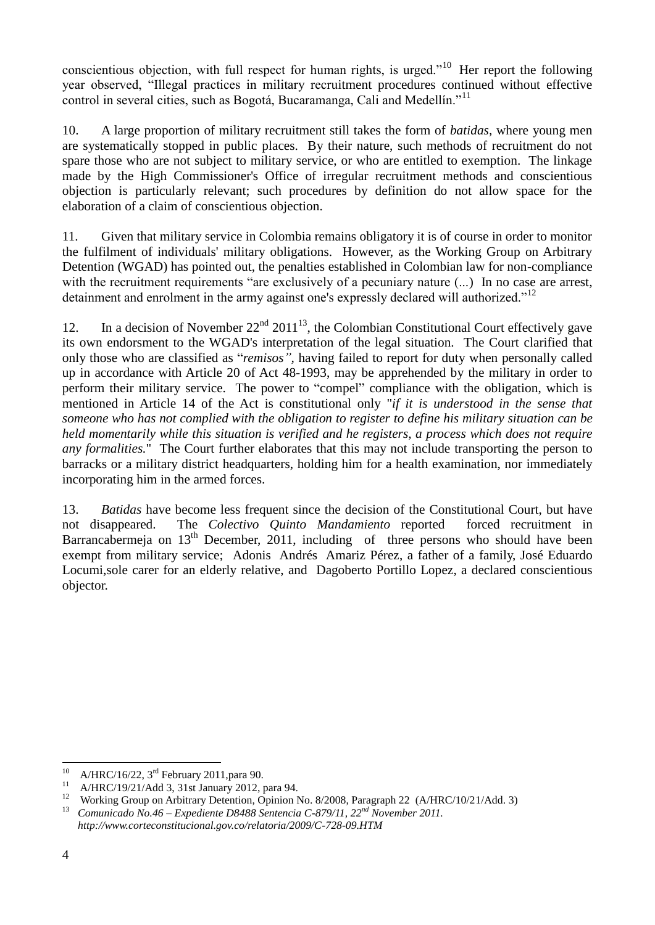conscientious objection, with full respect for human rights, is urged."<sup>10</sup> Her report the following year observed, "Illegal practices in military recruitment procedures continued without effective control in several cities, such as Bogotá, Bucaramanga, Cali and Medellín."<sup>11</sup>

10. A large proportion of military recruitment still takes the form of *batidas,* where young men are systematically stopped in public places. By their nature, such methods of recruitment do not spare those who are not subject to military service, or who are entitled to exemption. The linkage made by the High Commissioner's Office of irregular recruitment methods and conscientious objection is particularly relevant; such procedures by definition do not allow space for the elaboration of a claim of conscientious objection.

11. Given that military service in Colombia remains obligatory it is of course in order to monitor the fulfilment of individuals' military obligations. However, as the Working Group on Arbitrary Detention (WGAD) has pointed out, the penalties established in Colombian law for non-compliance with the recruitment requirements "are exclusively of a pecuniary nature  $(...)$  In no case are arrest, detainment and enrolment in the army against one's expressly declared will authorized."<sup>12</sup>

12. In a decision of November  $22<sup>nd</sup> 2011<sup>13</sup>$ , the Colombian Constitutional Court effectively gave its own endorsment to the WGAD's interpretation of the legal situation. The Court clarified that only those who are classified as "*remisos",* having failed to report for duty when personally called up in accordance with Article 20 of Act 48-1993, may be apprehended by the military in order to perform their military service. The power to "compel" compliance with the obligation, which is mentioned in Article 14 of the Act is constitutional only "*if it is understood in the sense that someone who has not complied with the obligation to register to define his military situation can be held momentarily while this situation is verified and he registers, a process which does not require any formalities.*" The Court further elaborates that this may not include transporting the person to barracks or a military district headquarters, holding him for a health examination, nor immediately incorporating him in the armed forces.

13. *Batidas* have become less frequent since the decision of the Constitutional Court, but have not disappeared. The *Colectivo Quinto Mandamiento* reported forced recruitment in Barrancabermeja on 13<sup>th</sup> December, 2011, including of three persons who should have been exempt from military service; Adonis Andrés Amariz Pérez, a father of a family, José Eduardo Locumi,sole carer for an elderly relative, and Dagoberto Portillo Lopez, a declared conscientious objector.

 $10<sup>10</sup>$ <sup>10</sup> A/HRC/16/22, 3<sup>rd</sup> February 2011, para 90.

<sup>11</sup> A/HRC/19/21/Add 3, 31st January 2012, para 94.

<sup>&</sup>lt;sup>12</sup> Working Group on Arbitrary Detention, Opinion No. 8/2008, Paragraph 22 (A/HRC/10/21/Add. 3)<br><sup>13</sup> Comunicado No. 46 – Expediente D8488 Sentencia C-879/11, 22<sup>nd</sup> November 2011

<sup>13</sup> *Comunicado No.46 – Expediente D8488 Sentencia C-879/11, 22nd November 2011. http://www.corteconstitucional.gov.co/relatoria/2009/C-728-09.HTM*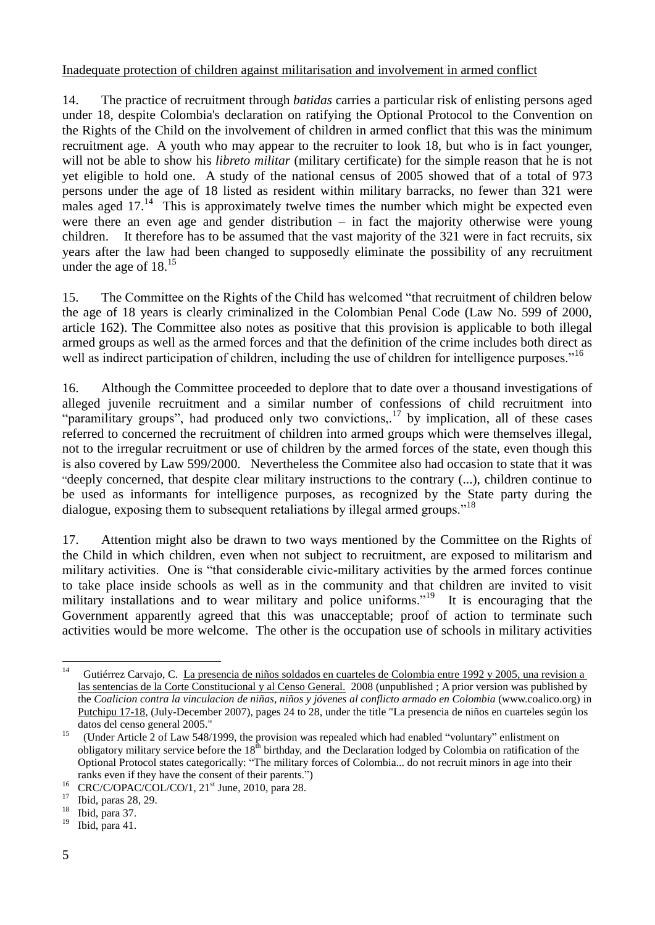#### Inadequate protection of children against militarisation and involvement in armed conflict

14. The practice of recruitment through *batidas* carries a particular risk of enlisting persons aged under 18, despite Colombia's declaration on ratifying the Optional Protocol to the Convention on the Rights of the Child on the involvement of children in armed conflict that this was the minimum recruitment age. A youth who may appear to the recruiter to look 18, but who is in fact younger, will not be able to show his *libreto militar* (military certificate) for the simple reason that he is not yet eligible to hold one. A study of the national census of 2005 showed that of a total of 973 persons under the age of 18 listed as resident within military barracks, no fewer than 321 were males aged  $17<sup>14</sup>$  This is approximately twelve times the number which might be expected even were there an even age and gender distribution – in fact the majority otherwise were young children. It therefore has to be assumed that the vast majority of the 321 were in fact recruits, six years after the law had been changed to supposedly eliminate the possibility of any recruitment under the age of  $18^{15}$ 

15. The Committee on the Rights of the Child has welcomed "that recruitment of children below the age of 18 years is clearly criminalized in the Colombian Penal Code (Law No. 599 of 2000, article 162). The Committee also notes as positive that this provision is applicable to both illegal armed groups as well as the armed forces and that the definition of the crime includes both direct as well as indirect participation of children, including the use of children for intelligence purposes."<sup>16</sup>

16. Although the Committee proceeded to deplore that to date over a thousand investigations of alleged juvenile recruitment and a similar number of confessions of child recruitment into "paramilitary groups", had produced only two convictions,  $17$  by implication, all of these cases referred to concerned the recruitment of children into armed groups which were themselves illegal, not to the irregular recruitment or use of children by the armed forces of the state, even though this is also covered by Law 599/2000. Nevertheless the Commitee also had occasion to state that it was "deeply concerned, that despite clear military instructions to the contrary (...), children continue to be used as informants for intelligence purposes, as recognized by the State party during the dialogue, exposing them to subsequent retaliations by illegal armed groups."<sup>18</sup>

17. Attention might also be drawn to two ways mentioned by the Committee on the Rights of the Child in which children, even when not subject to recruitment, are exposed to militarism and military activities. One is "that considerable civic-military activities by the armed forces continue to take place inside schools as well as in the community and that children are invited to visit military installations and to wear military and police uniforms."<sup>19</sup> It is encouraging that the Government apparently agreed that this was unacceptable; proof of action to terminate such activities would be more welcome. The other is the occupation use of schools in military activities

 $14$ Gutiérrez Carvajo, C. La presencia de niños soldados en cuarteles de Colombia entre 1992 y 2005, una revision a las sentencias de la Corte Constitucional y al Censo General. 2008 (unpublished ; A prior version was published by the *Coalicion contra la vinculacion de niñas, niños y jóvenes al conflicto armado en Colombia* (www.coalico.org) in Putchipu 17-18, (July-December 2007), pages 24 to 28, under the title "La presencia de niños en cuarteles según los datos del censo general 2005."

<sup>15</sup> (Under Article 2 of Law 548/1999, the provision was repealed which had enabled "voluntary" enlistment on obligatory military service before the  $18<sup>th</sup>$  birthday, and the Declaration lodged by Colombia on ratification of the Optional Protocol states categorically: "The military forces of Colombia... do not recruit minors in age into their ranks even if they have the consent of their parents.")

<sup>&</sup>lt;sup>16</sup> CRC/C/OPAC/COL/CO/1, 21<sup>st</sup> June, 2010, para 28.

 $^{17}$  Ibid, paras 28, 29.

 $\frac{18}{19}$  Ibid, para 37.

Ibid, para 41.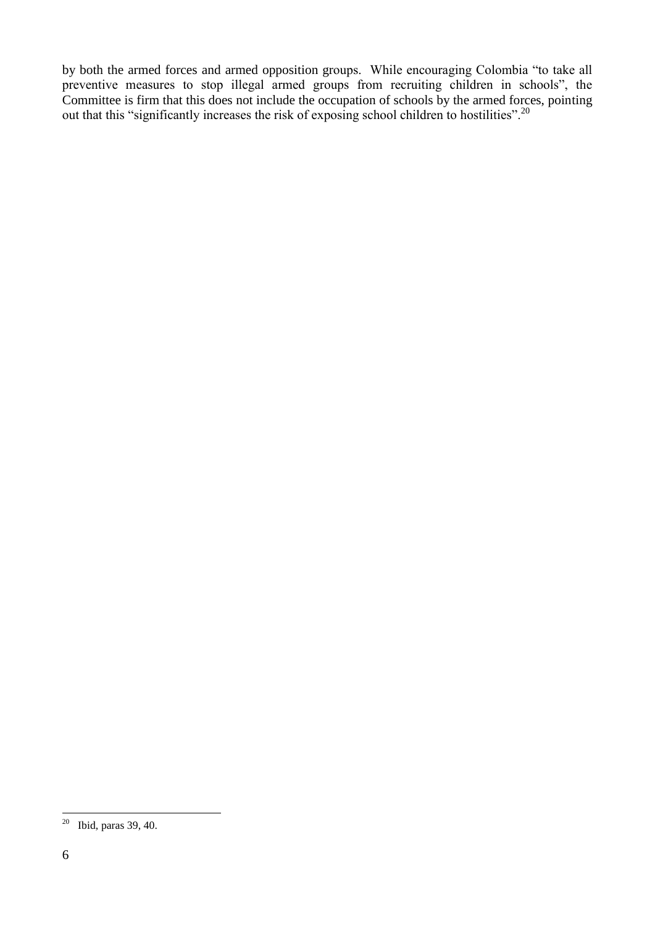by both the armed forces and armed opposition groups. While encouraging Colombia "to take all preventive measures to stop illegal armed groups from recruiting children in schools", the Committee is firm that this does not include the occupation of schools by the armed forces, pointing out that this "significantly increases the risk of exposing school children to hostilities".<sup>20</sup>

<u>.</u>

 $20$  Ibid, paras 39, 40.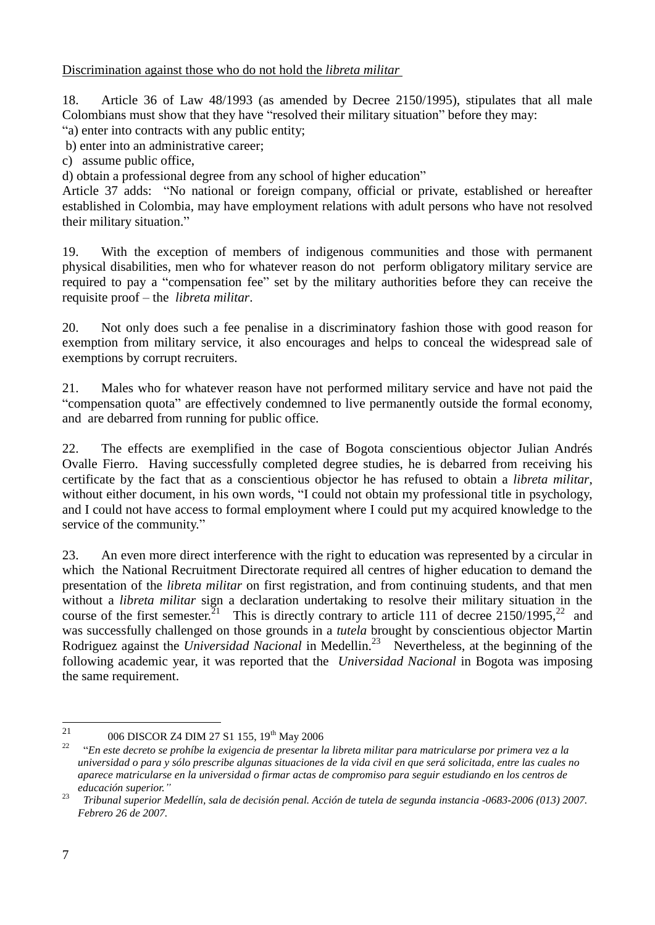Discrimination against those who do not hold the *libreta militar*

18. Article 36 of Law 48/1993 (as amended by Decree 2150/1995), stipulates that all male Colombians must show that they have "resolved their military situation" before they may:

"a) enter into contracts with any public entity;

b) enter into an administrative career;

c) assume public office,

d) obtain a professional degree from any school of higher education"

Article 37 adds: "No national or foreign company, official or private, established or hereafter established in Colombia, may have employment relations with adult persons who have not resolved their military situation."

19. With the exception of members of indigenous communities and those with permanent physical disabilities, men who for whatever reason do not perform obligatory military service are required to pay a "compensation fee" set by the military authorities before they can receive the requisite proof – the *libreta militar*.

20. Not only does such a fee penalise in a discriminatory fashion those with good reason for exemption from military service, it also encourages and helps to conceal the widespread sale of exemptions by corrupt recruiters.

21. Males who for whatever reason have not performed military service and have not paid the "compensation quota" are effectively condemned to live permanently outside the formal economy, and are debarred from running for public office.

22. The effects are exemplified in the case of Bogota conscientious objector Julian Andrés Ovalle Fierro. Having successfully completed degree studies, he is debarred from receiving his certificate by the fact that as a conscientious objector he has refused to obtain a *libreta militar*, without either document, in his own words, "I could not obtain my professional title in psychology, and I could not have access to formal employment where I could put my acquired knowledge to the service of the community."

23. An even more direct interference with the right to education was represented by a circular in which the National Recruitment Directorate required all centres of higher education to demand the presentation of the *libreta militar* on first registration, and from continuing students, and that men without a *libreta militar* sign a declaration undertaking to resolve their military situation in the course of the first semester. $21$ This is directly contrary to article 111 of decree  $2150/1995$ <sup>22</sup> and was successfully challenged on those grounds in a *tutela* brought by conscientious objector Martin Rodriguez against the *Universidad Nacional* in Medellin.<sup>23</sup> Nevertheless, at the beginning of the following academic year, it was reported that the *Universidad Nacional* in Bogota was imposing the same requirement.

 $\frac{1}{21}$ 006 DISCOR Z4 DIM 27 S1 155, 19<sup>th</sup> May 2006

<sup>22</sup> "En este decreto se prohíbe la exigencia de presentar la libreta militar para matricularse por primera vez a la universidad o para y sólo prescribe algunas situaciones de la vida civil en que será solicitada, entre las cuales no aparece matricularse en la universidad o firmar actas de compromiso para seguir estudiando en los centros de *educación superior."*

<sup>23</sup> *Tribunal superior Medellín, sala de decisión penal. Acción de tutela de segunda instancia -0683-2006 (013) 2007. Febrero 26 de 2007.*